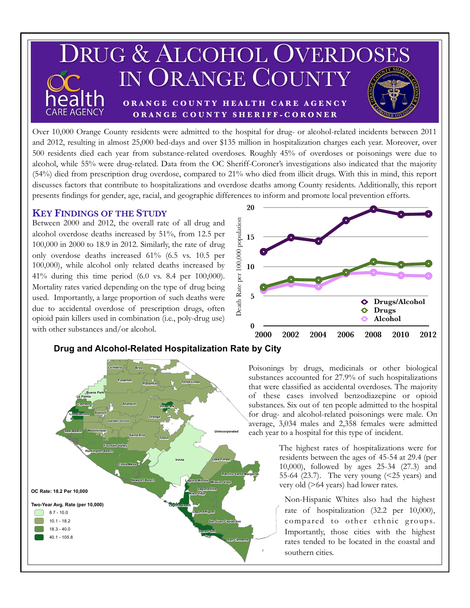

Over 10,000 Orange County residents were admitted to the hospital for drug- or alcohol-related incidents between 2011 and 2012, resulting in almost 25,000 bed-days and over \$135 million in hospitalization charges each year. Moreover, over 500 residents died each year from substance-related overdoses. Roughly 45% of overdoses or poisonings were due to alcohol, while 55% were drug-related. Data from the OC Sheriff-Coroner's investigations also indicated that the majority (54%) died from prescription drug overdose, compared to 21% who died from illicit drugs. With this in mind, this report discusses factors that contribute to hospitalizations and overdose deaths among County residents. Additionally, this report presents findings for gender, age, racial, and geographic differences to inform and promote local prevention efforts.

## **KEY FINDINGS OF THE STUDY**

Between 2000 and 2012, the overall rate of all drug and alcohol overdose deaths increased by 51%, from 12.5 per 100,000 in 2000 to 18.9 in 2012. Similarly, the rate of drug only overdose deaths increased 61% (6.5 vs. 10.5 per 100,000), while alcohol only related deaths increased by 41% during this time period (6.0 vs. 8.4 per 100,000). Mortality rates varied depending on the type of drug being used. Importantly, a large proportion of such deaths were due to accidental overdose of prescription drugs, often opioid pain killers used in combination (i.e., poly-drug use) with other substances and/or alcohol. **0** 







Poisonings by drugs, medicinals or other biological substances accounted for 27.9% of such hospitalizations that were classified as accidental overdoses. The majority of these cases involved benzodiazepine or opioid substances. Six out of ten people admitted to the hospital for drug- and alcohol-related poisonings were male. On average, 3,034 males and 2,358 females were admitted each year to a hospital for this type of incident.

> The highest rates of hospitalizations were for residents between the ages of 45-54 at 29.4 (per 10,000), followed by ages 25-34 (27.3) and 55-64 (23.7). The very young (<25 years) and very old (>64 years) had lower rates.

southern cities. Non-Hispanic Whites also had the highest rate of hospitalization (32.2 per 10,000), compared to other ethnic groups. Importantly, those cities with the highest rates tended to be located in the coastal and